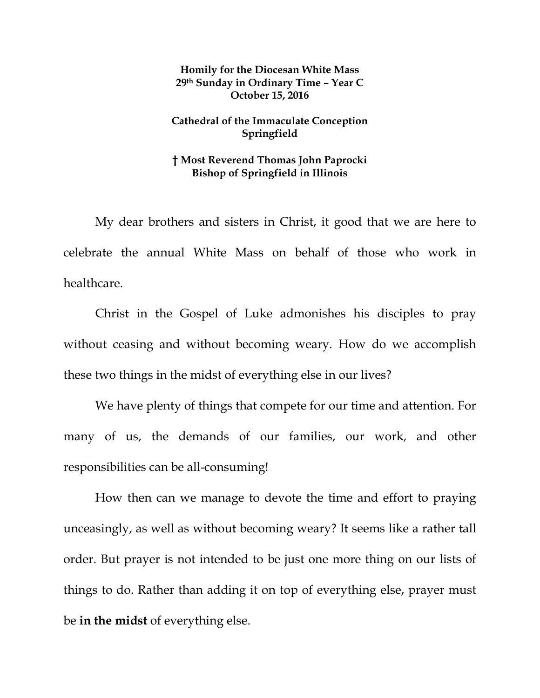## **Homily for the Diocesan White Mass 29th Sunday in Ordinary Time – Year C October 15, 2016**

## **Cathedral of the Immaculate Conception Springfield**

## **† Most Reverend Thomas John Paprocki Bishop of Springfield in Illinois**

My dear brothers and sisters in Christ, it good that we are here to celebrate the annual White Mass on behalf of those who work in healthcare.

Christ in the Gospel of Luke admonishes his disciples to pray without ceasing and without becoming weary. How do we accomplish these two things in the midst of everything else in our lives?

We have plenty of things that compete for our time and attention. For many of us, the demands of our families, our work, and other responsibilities can be all-consuming!

How then can we manage to devote the time and effort to praying unceasingly, as well as without becoming weary? It seems like a rather tall order. But prayer is not intended to be just one more thing on our lists of things to do. Rather than adding it on top of everything else, prayer must be **in the midst** of everything else.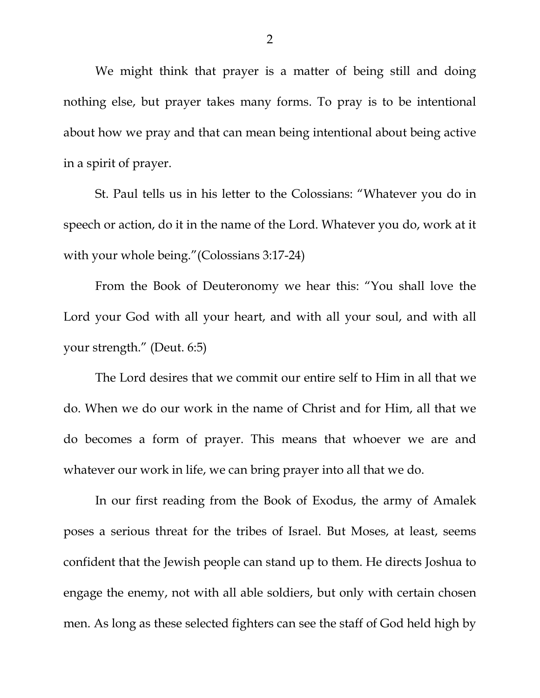We might think that prayer is a matter of being still and doing nothing else, but prayer takes many forms. To pray is to be intentional about how we pray and that can mean being intentional about being active in a spirit of prayer.

St. Paul tells us in his letter to the Colossians: "Whatever you do in speech or action, do it in the name of the Lord. Whatever you do, work at it with your whole being."(Colossians 3:17-24)

From the Book of Deuteronomy we hear this: "You shall love the Lord your God with all your heart, and with all your soul, and with all your strength." (Deut. 6:5)

The Lord desires that we commit our entire self to Him in all that we do. When we do our work in the name of Christ and for Him, all that we do becomes a form of prayer. This means that whoever we are and whatever our work in life, we can bring prayer into all that we do.

In our first reading from the Book of Exodus, the army of Amalek poses a serious threat for the tribes of Israel. But Moses, at least, seems confident that the Jewish people can stand up to them. He directs Joshua to engage the enemy, not with all able soldiers, but only with certain chosen men. As long as these selected fighters can see the staff of God held high by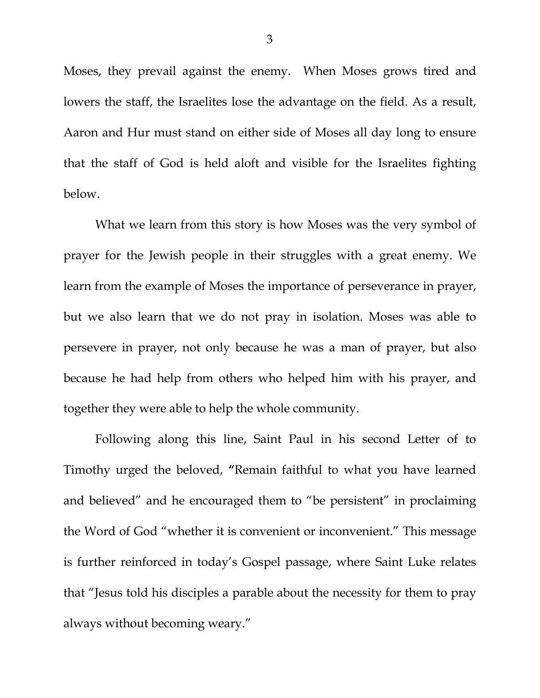Moses, they prevail against the enemy. When Moses grows tired and lowers the staff, the Israelites lose the advantage on the field. As a result, Aaron and Hur must stand on either side of Moses all day long to ensure that the staff of God is held aloft and visible for the Israelites fighting below.

What we learn from this story is how Moses was the very symbol of prayer for the Jewish people in their struggles with a great enemy. We learn from the example of Moses the importance of perseverance in prayer, but we also learn that we do not pray in isolation. Moses was able to persevere in prayer, not only because he was a man of prayer, but also because he had help from others who helped him with his prayer, and together they were able to help the whole community.

Following along this line, Saint Paul in his second Letter of to Timothy urged the beloved, **"**Remain faithful to what you have learned and believed" and he encouraged them to "be persistent" in proclaiming the Word of God "whether it is convenient or inconvenient." This message is further reinforced in today's Gospel passage, where Saint Luke relates that "Jesus told his disciples a parable about the necessity for them to pray always without becoming weary."

3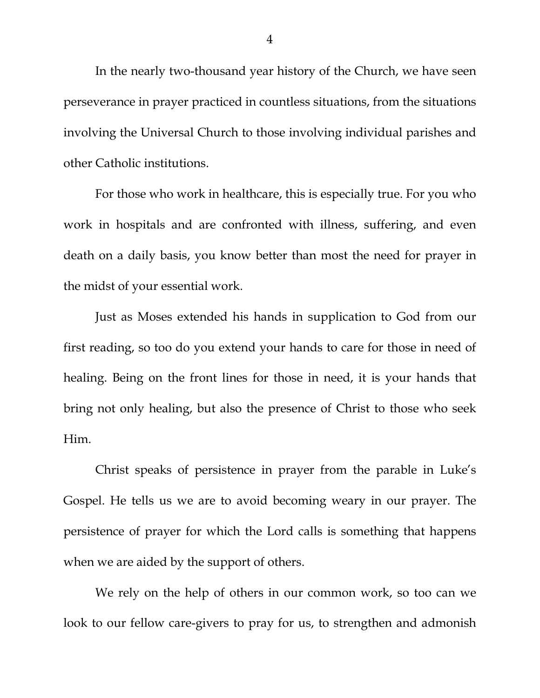In the nearly two-thousand year history of the Church, we have seen perseverance in prayer practiced in countless situations, from the situations involving the Universal Church to those involving individual parishes and other Catholic institutions.

For those who work in healthcare, this is especially true. For you who work in hospitals and are confronted with illness, suffering, and even death on a daily basis, you know better than most the need for prayer in the midst of your essential work.

Just as Moses extended his hands in supplication to God from our first reading, so too do you extend your hands to care for those in need of healing. Being on the front lines for those in need, it is your hands that bring not only healing, but also the presence of Christ to those who seek Him.

Christ speaks of persistence in prayer from the parable in Luke's Gospel. He tells us we are to avoid becoming weary in our prayer. The persistence of prayer for which the Lord calls is something that happens when we are aided by the support of others.

We rely on the help of others in our common work, so too can we look to our fellow care-givers to pray for us, to strengthen and admonish